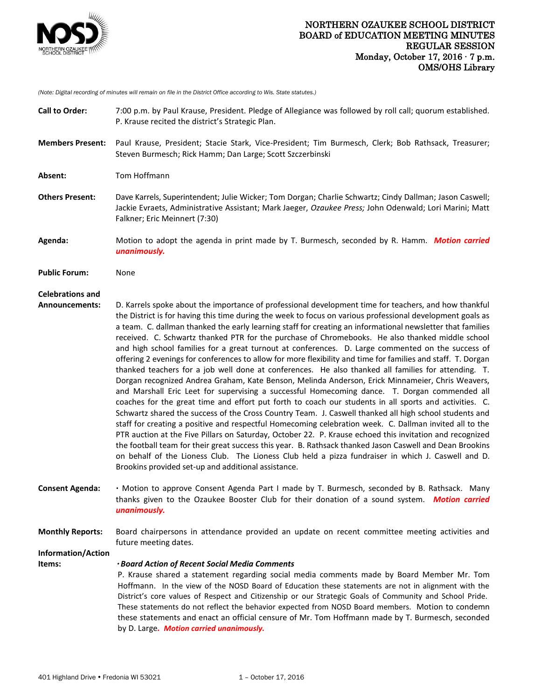

*(Note: Digital recording of minutes will remain on file in the District Office according to Wis. State statutes.)*

| <b>Call to Order:</b>                            | 7:00 p.m. by Paul Krause, President. Pledge of Allegiance was followed by roll call; quorum established.<br>P. Krause recited the district's Strategic Plan.                                                                                                                                                                                                                                                                                                                                                                                                                                                                                                                                                                                                                                                                                                                                                                                                                                                                                                                                                                                                                                                                                                                                                                                                                                                                                                                                                                                                                                                                                                                               |
|--------------------------------------------------|--------------------------------------------------------------------------------------------------------------------------------------------------------------------------------------------------------------------------------------------------------------------------------------------------------------------------------------------------------------------------------------------------------------------------------------------------------------------------------------------------------------------------------------------------------------------------------------------------------------------------------------------------------------------------------------------------------------------------------------------------------------------------------------------------------------------------------------------------------------------------------------------------------------------------------------------------------------------------------------------------------------------------------------------------------------------------------------------------------------------------------------------------------------------------------------------------------------------------------------------------------------------------------------------------------------------------------------------------------------------------------------------------------------------------------------------------------------------------------------------------------------------------------------------------------------------------------------------------------------------------------------------------------------------------------------------|
| <b>Members Present:</b>                          | Paul Krause, President; Stacie Stark, Vice-President; Tim Burmesch, Clerk; Bob Rathsack, Treasurer;<br>Steven Burmesch; Rick Hamm; Dan Large; Scott Szczerbinski                                                                                                                                                                                                                                                                                                                                                                                                                                                                                                                                                                                                                                                                                                                                                                                                                                                                                                                                                                                                                                                                                                                                                                                                                                                                                                                                                                                                                                                                                                                           |
| Absent:                                          | Tom Hoffmann                                                                                                                                                                                                                                                                                                                                                                                                                                                                                                                                                                                                                                                                                                                                                                                                                                                                                                                                                                                                                                                                                                                                                                                                                                                                                                                                                                                                                                                                                                                                                                                                                                                                               |
| <b>Others Present:</b>                           | Dave Karrels, Superintendent; Julie Wicker; Tom Dorgan; Charlie Schwartz; Cindy Dallman; Jason Caswell;<br>Jackie Evraets, Administrative Assistant; Mark Jaeger, Ozaukee Press; John Odenwald; Lori Marini; Matt<br>Falkner; Eric Meinnert (7:30)                                                                                                                                                                                                                                                                                                                                                                                                                                                                                                                                                                                                                                                                                                                                                                                                                                                                                                                                                                                                                                                                                                                                                                                                                                                                                                                                                                                                                                         |
| Agenda:                                          | Motion to adopt the agenda in print made by T. Burmesch, seconded by R. Hamm. Motion carried<br>unanimously.                                                                                                                                                                                                                                                                                                                                                                                                                                                                                                                                                                                                                                                                                                                                                                                                                                                                                                                                                                                                                                                                                                                                                                                                                                                                                                                                                                                                                                                                                                                                                                               |
| <b>Public Forum:</b>                             | None                                                                                                                                                                                                                                                                                                                                                                                                                                                                                                                                                                                                                                                                                                                                                                                                                                                                                                                                                                                                                                                                                                                                                                                                                                                                                                                                                                                                                                                                                                                                                                                                                                                                                       |
| <b>Celebrations and</b><br><b>Announcements:</b> | D. Karrels spoke about the importance of professional development time for teachers, and how thankful<br>the District is for having this time during the week to focus on various professional development goals as<br>a team. C. dallman thanked the early learning staff for creating an informational newsletter that families<br>received. C. Schwartz thanked PTR for the purchase of Chromebooks. He also thanked middle school<br>and high school families for a great turnout at conferences. D. Large commented on the success of<br>offering 2 evenings for conferences to allow for more flexibility and time for families and staff. T. Dorgan<br>thanked teachers for a job well done at conferences. He also thanked all families for attending. T.<br>Dorgan recognized Andrea Graham, Kate Benson, Melinda Anderson, Erick Minnameier, Chris Weavers,<br>and Marshall Eric Leet for supervising a successful Homecoming dance. T. Dorgan commended all<br>coaches for the great time and effort put forth to coach our students in all sports and activities. C.<br>Schwartz shared the success of the Cross Country Team. J. Caswell thanked all high school students and<br>staff for creating a positive and respectful Homecoming celebration week. C. Dallman invited all to the<br>PTR auction at the Five Pillars on Saturday, October 22. P. Krause echoed this invitation and recognized<br>the football team for their great success this year. B. Rathsack thanked Jason Caswell and Dean Brookins<br>on behalf of the Lioness Club. The Lioness Club held a pizza fundraiser in which J. Caswell and D.<br>Brookins provided set-up and additional assistance. |
| <b>Consent Agenda:</b>                           | . Motion to approve Consent Agenda Part I made by T. Burmesch, seconded by B. Rathsack. Many<br>thanks given to the Ozaukee Booster Club for their donation of a sound system. Motion carried<br>unanimously.                                                                                                                                                                                                                                                                                                                                                                                                                                                                                                                                                                                                                                                                                                                                                                                                                                                                                                                                                                                                                                                                                                                                                                                                                                                                                                                                                                                                                                                                              |
| <b>Monthly Reports:</b>                          | Board chairpersons in attendance provided an update on recent committee meeting activities and<br>future meeting dates.                                                                                                                                                                                                                                                                                                                                                                                                                                                                                                                                                                                                                                                                                                                                                                                                                                                                                                                                                                                                                                                                                                                                                                                                                                                                                                                                                                                                                                                                                                                                                                    |
| Information/Action<br>Items:                     | <b>· Board Action of Recent Social Media Comments</b><br>P. Krause shared a statement regarding social media comments made by Board Member Mr. Tom<br>Hoffmann. In the view of the NOSD Board of Education these statements are not in alignment with the<br>District's core values of Respect and Citizenship or our Strategic Goals of Community and School Pride.<br>These statements do not reflect the behavior expected from NOSD Board members. Motion to condemn<br>these statements and enact an official censure of Mr. Tom Hoffmann made by T. Burmesch, seconded<br>by D. Large. Motion carried unanimously.                                                                                                                                                                                                                                                                                                                                                                                                                                                                                                                                                                                                                                                                                                                                                                                                                                                                                                                                                                                                                                                                   |